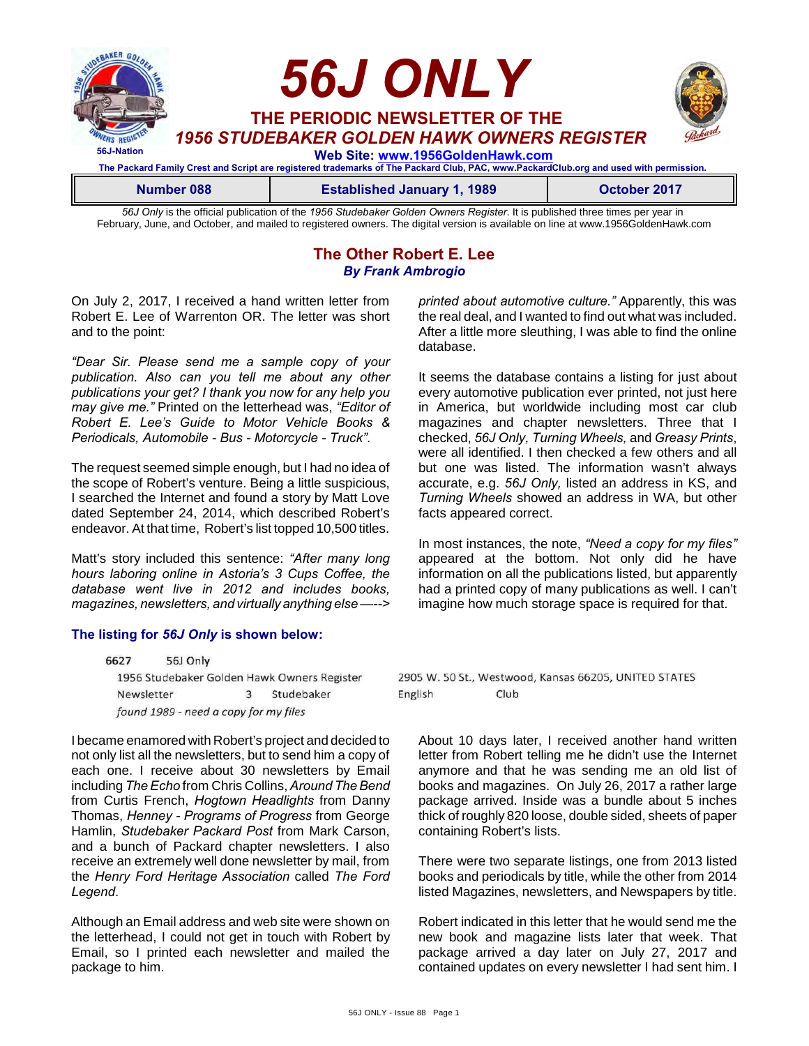

*56J Only* is the official publication of the *1956 Studebaker Golden Owners Register*. It is published three times per year in February, June, and October, and mailed to registered owners. The digital version is available on line at www.1956GoldenHawk.com

> **The Other Robert E. Lee** *By Frank Ambrogio*

On July 2, 2017, I received a hand written letter from Robert E. Lee of Warrenton OR. The letter was short and to the point:

*"Dear Sir. Please send me a sample copy of your publication. Also can you tell me about any other publications your get? I thank you now for any help you may give me."* Printed on the letterhead was, *"Editor of Robert E. Lee's Guide to Motor Vehicle Books & Periodicals, Automobile - Bus - Motorcycle - Truck"*.

The request seemed simple enough, but I had no idea of the scope of Robert's venture. Being a little suspicious, I searched the Internet and found a story by Matt Love dated September 24, 2014, which described Robert's endeavor. At that time, Robert's list topped 10,500 titles.

Matt's story included this sentence: *"After many long hours laboring online in Astoria's 3 Cups Coffee, the database went live in 2012 and includes books, magazines, newsletters, and virtually anything else —-->*

#### **The listing for** *56J Only* **is shown below:**

6627 56J Only 1956 Studebaker Golden Hawk Owners Register Studebaker Newsletter 3 found 1989 - need a copy for my files

I became enamored with Robert's project and decided to not only list all the newsletters, but to send him a copy of each one. I receive about 30 newsletters by Email including *The Echo* from Chris Collins, *Around The Bend* from Curtis French, *Hogtown Headlights* from Danny Thomas, *Henney - Programs of Progress* from George Hamlin, *Studebaker Packard Post* from Mark Carson, and a bunch of Packard chapter newsletters. I also receive an extremely well done newsletter by mail, from the *Henry Ford Heritage Association* called *The Ford Legend*.

Although an Email address and web site were shown on the letterhead, I could not get in touch with Robert by Email, so I printed each newsletter and mailed the package to him.

*printed about automotive culture."* Apparently, this was the real deal, and I wanted to find out what was included. After a little more sleuthing, I was able to find the online database.

It seems the database contains a listing for just about every automotive publication ever printed, not just here in America, but worldwide including most car club magazines and chapter newsletters. Three that I checked, *56J Only, Turning Wheels,* and *Greasy Prints*, were all identified. I then checked a few others and all but one was listed. The information wasn't always accurate, e.g. *56J Only,* listed an address in KS, and *Turning Wheels* showed an address in WA, but other facts appeared correct.

In most instances, the note, *"Need a copy for my files"* appeared at the bottom. Not only did he have information on all the publications listed, but apparently had a printed copy of many publications as well. I can't imagine how much storage space is required for that.

2905 W. 50 St., Westwood, Kansas 66205, UNITED STATES English Club

About 10 days later, I received another hand written letter from Robert telling me he didn't use the Internet anymore and that he was sending me an old list of books and magazines. On July 26, 2017 a rather large package arrived. Inside was a bundle about 5 inches thick of roughly 820 loose, double sided, sheets of paper containing Robert's lists.

There were two separate listings, one from 2013 listed books and periodicals by title, while the other from 2014 listed Magazines, newsletters, and Newspapers by title.

Robert indicated in this letter that he would send me the new book and magazine lists later that week. That package arrived a day later on July 27, 2017 and contained updates on every newsletter I had sent him. I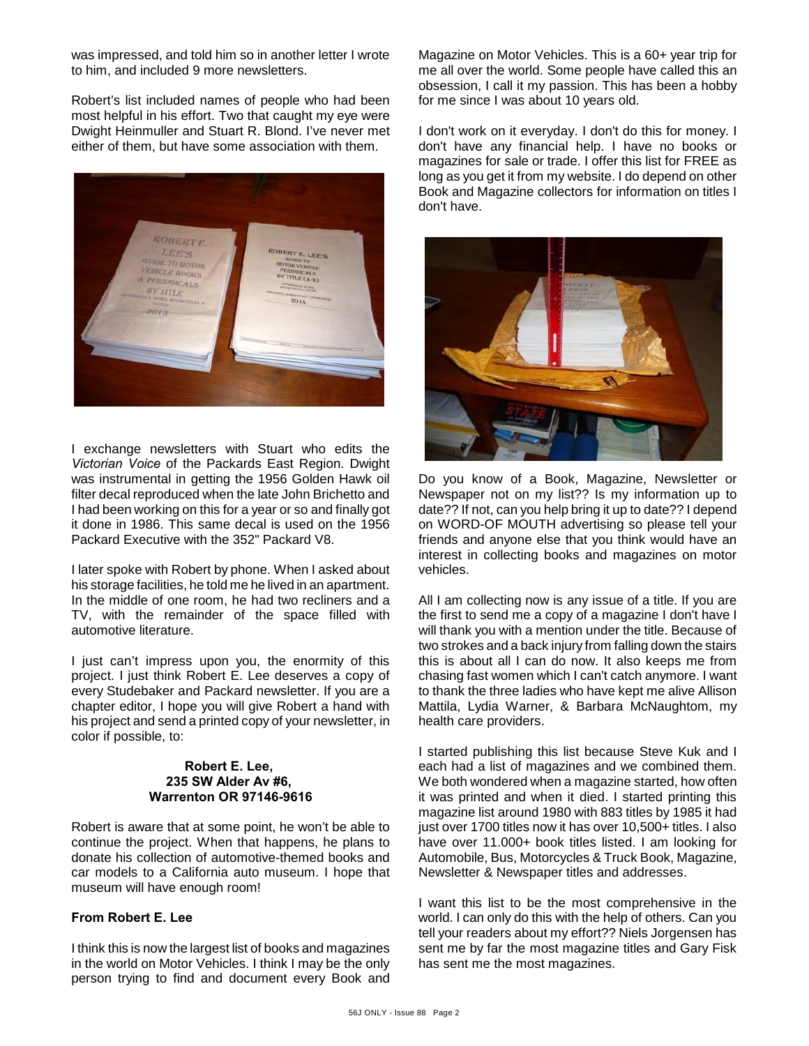was impressed, and told him so in another letter I wrote to him, and included 9 more newsletters.

Robert's list included names of people who had been most helpful in his effort. Two that caught my eye were Dwight Heinmuller and Stuart R. Blond. I've never met either of them, but have some association with them.



I exchange newsletters with Stuart who edits the *Victorian Voice* of the Packards East Region. Dwight was instrumental in getting the 1956 Golden Hawk oil filter decal reproduced when the late John Brichetto and I had been working on this for a year or so and finally got it done in 1986. This same decal is used on the 1956 Packard Executive with the 352" Packard V8.

I later spoke with Robert by phone. When I asked about his storage facilities, he told me he lived in an apartment. In the middle of one room, he had two recliners and a TV, with the remainder of the space filled with automotive literature.

I just can't impress upon you, the enormity of this project. I just think Robert E. Lee deserves a copy of every Studebaker and Packard newsletter. If you are a chapter editor, I hope you will give Robert a hand with his project and send a printed copy of your newsletter, in color if possible, to:

#### **Robert E. Lee, 235 SW Alder Av #6, Warrenton OR 97146-9616**

Robert is aware that at some point, he won't be able to continue the project. When that happens, he plans to donate his collection of automotive-themed books and car models to a California auto museum. I hope that museum will have enough room!

## **From Robert E. Lee**

I think this is now the largest list of books and magazines in the world on Motor Vehicles. I think I may be the only person trying to find and document every Book and Magazine on Motor Vehicles. This is a 60+ year trip for me all over the world. Some people have called this an obsession, I call it my passion. This has been a hobby for me since I was about 10 years old.

I don't work on it everyday. I don't do this for money. I don't have any financial help. I have no books or magazines for sale or trade. I offer this list for FREE as long as you get it from my website. I do depend on other Book and Magazine collectors for information on titles I don't have.



Do you know of a Book, Magazine, Newsletter or Newspaper not on my list?? Is my information up to date?? If not, can you help bring it up to date?? I depend on WORD-OF MOUTH advertising so please tell your friends and anyone else that you think would have an interest in collecting books and magazines on motor vehicles.

All I am collecting now is any issue of a title. If you are the first to send me a copy of a magazine I don't have I will thank you with a mention under the title. Because of two strokes and a back injury from falling down the stairs this is about all I can do now. It also keeps me from chasing fast women which I can't catch anymore. I want to thank the three ladies who have kept me alive Allison Mattila, Lydia Warner, & Barbara McNaughtom, my health care providers.

I started publishing this list because Steve Kuk and I each had a list of magazines and we combined them. We both wondered when a magazine started, how often it was printed and when it died. I started printing this magazine list around 1980 with 883 titles by 1985 it had just over 1700 titles now it has over 10,500+ titles. I also have over 11.000+ book titles listed. I am looking for Automobile, Bus, Motorcycles & Truck Book, Magazine, Newsletter & Newspaper titles and addresses.

I want this list to be the most comprehensive in the world. I can only do this with the help of others. Can you tell your readers about my effort?? Niels Jorgensen has sent me by far the most magazine titles and Gary Fisk has sent me the most magazines.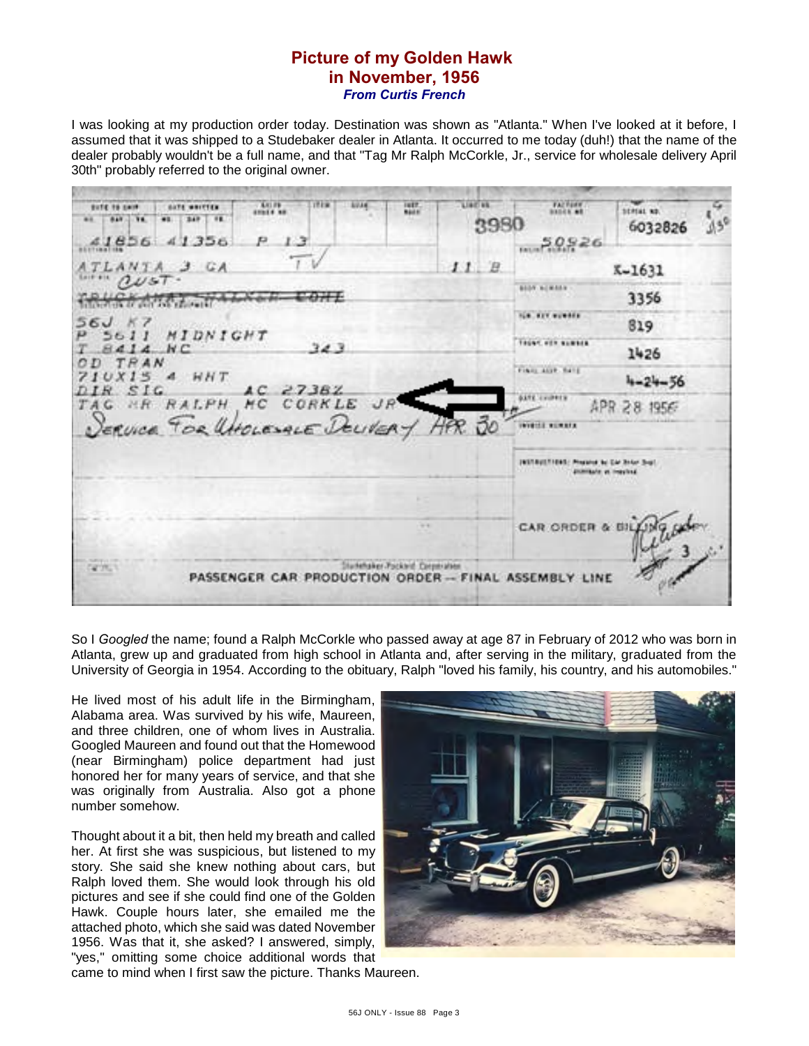# **Picture of my Golden Hawk in November, 1956** *From Curtis French*

I was looking at my production order today. Destination was shown as "Atlanta." When I've looked at it before, I assumed that it was shipped to a Studebaker dealer in Atlanta. It occurred to me today (duh!) that the name of the dealer probably wouldn't be a full name, and that "Tag Mr Ralph McCorkle, Jr., service for wholesale delivery April 30th" probably referred to the original owner.

List is.  $-0.003$ **CALIFORNIA** ut in **Butle 16 paint SATE MATTER** 10981.00 **Bank** 349. 10 2980 6032826  $50926$ 356 ál. 11 8 K-1631 **BEAN INCHES** 3356 **Chairman** the art speaks. 819 MIDNIGHT J. シロゴ Tager, and summer.  $8414$  $N C$ 343 1426 TRAN n n Final Automatic  $10X15.4$  $HHT$  $4 - 24 - 56$ IR SIG 27382 **GATE COUNTY** TAG MR RALPH HC. CORKLE APR 28 1956 sential summer. **INSTRUCTIONS: Program to the Road Sold** pomitate a maybel CAR ORDER & BH Studentsker Pockleid: Corporation PASSENGER CAR PRODUCTION ORDER -- FINAL ASSEMBLY LINE

So I *Googled* the name; found a Ralph McCorkle who passed away at age 87 in February of 2012 who was born in Atlanta, grew up and graduated from high school in Atlanta and, after serving in the military, graduated from the University of Georgia in 1954. According to the obituary, Ralph "loved his family, his country, and his automobiles."

He lived most of his adult life in the Birmingham, Alabama area. Was survived by his wife, Maureen, and three children, one of whom lives in Australia. Googled Maureen and found out that the Homewood (near Birmingham) police department had just honored her for many years of service, and that she was originally from Australia. Also got a phone number somehow.

Thought about it a bit, then held my breath and called her. At first she was suspicious, but listened to my story. She said she knew nothing about cars, but Ralph loved them. She would look through his old pictures and see if she could find one of the Golden Hawk. Couple hours later, she emailed me the attached photo, which she said was dated November 1956. Was that it, she asked? I answered, simply, "yes," omitting some choice additional words that



came to mind when I first saw the picture. Thanks Maureen.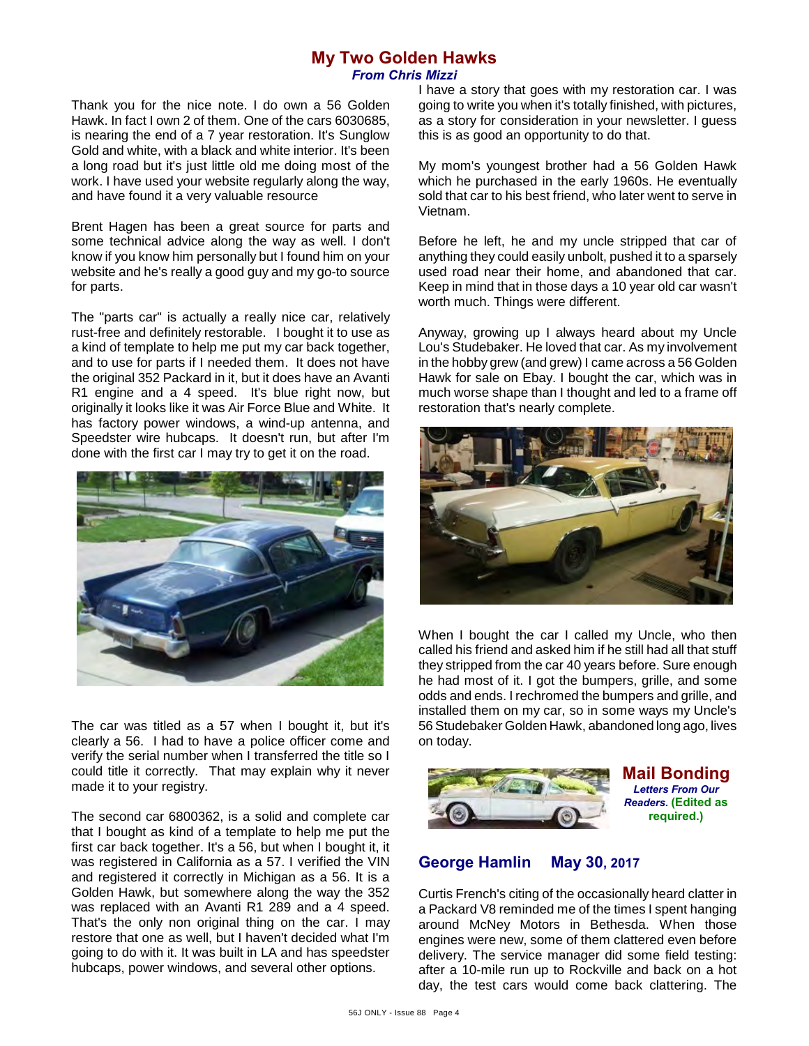# **My Two Golden Hawks** *From Chris Mizzi*

Thank you for the nice note. I do own a 56 Golden Hawk. In fact I own 2 of them. One of the cars 6030685, is nearing the end of a 7 year restoration. It's Sunglow Gold and white, with a black and white interior. It's been a long road but it's just little old me doing most of the work. I have used your website regularly along the way, and have found it a very valuable resource

Brent Hagen has been a great source for parts and some technical advice along the way as well. I don't know if you know him personally but I found him on your website and he's really a good guy and my go-to source for parts.

The "parts car" is actually a really nice car, relatively rust-free and definitely restorable. I bought it to use as a kind of template to help me put my car back together, and to use for parts if I needed them. It does not have the original 352 Packard in it, but it does have an Avanti R1 engine and a 4 speed. It's blue right now, but originally it looks like it was Air Force Blue and White. It has factory power windows, a wind-up antenna, and Speedster wire hubcaps. It doesn't run, but after I'm done with the first car I may try to get it on the road.



The car was titled as a 57 when I bought it, but it's clearly a 56. I had to have a police officer come and verify the serial number when I transferred the title so I could title it correctly. That may explain why it never made it to your registry.

The second car 6800362, is a solid and complete car that I bought as kind of a template to help me put the first car back together. It's a 56, but when I bought it, it was registered in California as a 57. I verified the VIN and registered it correctly in Michigan as a 56. It is a Golden Hawk, but somewhere along the way the 352 was replaced with an Avanti R1 289 and a 4 speed. That's the only non original thing on the car. I may restore that one as well, but I haven't decided what I'm going to do with it. It was built in LA and has speedster hubcaps, power windows, and several other options.

I have a story that goes with my restoration car. I was going to write you when it's totally finished, with pictures, as a story for consideration in your newsletter. I guess this is as good an opportunity to do that.

My mom's youngest brother had a 56 Golden Hawk which he purchased in the early 1960s. He eventually sold that car to his best friend, who later went to serve in Vietnam.

Before he left, he and my uncle stripped that car of anything they could easily unbolt, pushed it to a sparsely used road near their home, and abandoned that car. Keep in mind that in those days a 10 year old car wasn't worth much. Things were different.

Anyway, growing up I always heard about my Uncle Lou's Studebaker. He loved that car. As my involvement in the hobby grew (and grew) I came across a 56 Golden Hawk for sale on Ebay. I bought the car, which was in much worse shape than I thought and led to a frame off restoration that's nearly complete.



When I bought the car I called my Uncle, who then called his friend and asked him if he still had all that stuff they stripped from the car 40 years before. Sure enough he had most of it. I got the bumpers, grille, and some odds and ends. I rechromed the bumpers and grille, and installed them on my car, so in some ways my Uncle's 56 Studebaker Golden Hawk, abandoned long ago, lives on today.





# **George Hamlin May 30, 2017**

Curtis French's citing of the occasionally heard clatter in a Packard V8 reminded me of the times I spent hanging around McNey Motors in Bethesda. When those engines were new, some of them clattered even before delivery. The service manager did some field testing: after a 10-mile run up to Rockville and back on a hot day, the test cars would come back clattering. The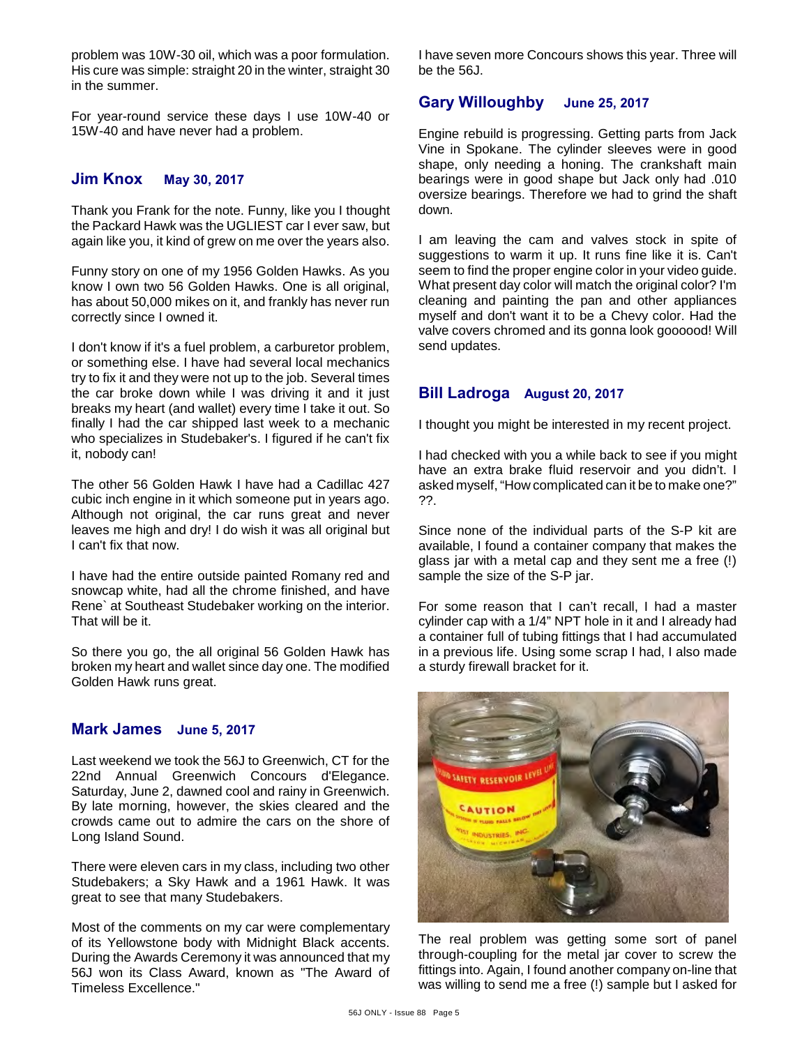problem was 10W-30 oil, which was a poor formulation. His cure was simple: straight 20 in the winter, straight 30 in the summer.

For year-round service these days I use 10W-40 or 15W-40 and have never had a problem.

### **Jim Knox May 30, 2017**

Thank you Frank for the note. Funny, like you I thought the Packard Hawk was the UGLIEST car I ever saw, but again like you, it kind of grew on me over the years also.

Funny story on one of my 1956 Golden Hawks. As you know I own two 56 Golden Hawks. One is all original, has about 50,000 mikes on it, and frankly has never run correctly since I owned it.

I don't know if it's a fuel problem, a carburetor problem, or something else. I have had several local mechanics try to fix it and they were not up to the job. Several times the car broke down while I was driving it and it just breaks my heart (and wallet) every time I take it out. So finally I had the car shipped last week to a mechanic who specializes in Studebaker's. I figured if he can't fix it, nobody can!

The other 56 Golden Hawk I have had a Cadillac 427 cubic inch engine in it which someone put in years ago. Although not original, the car runs great and never leaves me high and dry! I do wish it was all original but I can't fix that now.

I have had the entire outside painted Romany red and snowcap white, had all the chrome finished, and have Rene` at Southeast Studebaker working on the interior. That will be it.

So there you go, the all original 56 Golden Hawk has broken my heart and wallet since day one. The modified Golden Hawk runs great.

#### **Mark James June 5, 2017**

Last weekend we took the 56J to Greenwich, CT for the 22nd Annual Greenwich Concours d'Elegance. Saturday, June 2, dawned cool and rainy in Greenwich. By late morning, however, the skies cleared and the crowds came out to admire the cars on the shore of Long Island Sound.

There were eleven cars in my class, including two other Studebakers; a Sky Hawk and a 1961 Hawk. It was great to see that many Studebakers.

Most of the comments on my car were complementary of its Yellowstone body with Midnight Black accents. During the Awards Ceremony it was announced that my 56J won its Class Award, known as "The Award of Timeless Excellence."

I have seven more Concours shows this year. Three will be the 56J.

# **Gary Willoughby June 25, 2017**

Engine rebuild is progressing. Getting parts from Jack Vine in Spokane. The cylinder sleeves were in good shape, only needing a honing. The crankshaft main bearings were in good shape but Jack only had .010 oversize bearings. Therefore we had to grind the shaft down.

I am leaving the cam and valves stock in spite of suggestions to warm it up. It runs fine like it is. Can't seem to find the proper engine color in your video guide. What present day color will match the original color? I'm cleaning and painting the pan and other appliances myself and don't want it to be a Chevy color. Had the valve covers chromed and its gonna look goooood! Will send updates.

## **Bill Ladroga August 20, 2017**

I thought you might be interested in my recent project.

I had checked with you a while back to see if you might have an extra brake fluid reservoir and you didn't. I asked myself, "How complicated can it be to make one?" ??.

Since none of the individual parts of the S-P kit are available, I found a container company that makes the glass jar with a metal cap and they sent me a free (!) sample the size of the S-P jar.

For some reason that I can't recall, I had a master cylinder cap with a 1/4" NPT hole in it and I already had a container full of tubing fittings that I had accumulated in a previous life. Using some scrap I had, I also made a sturdy firewall bracket for it.



The real problem was getting some sort of panel through-coupling for the metal jar cover to screw the fittings into. Again, I found another company on-line that was willing to send me a free (!) sample but I asked for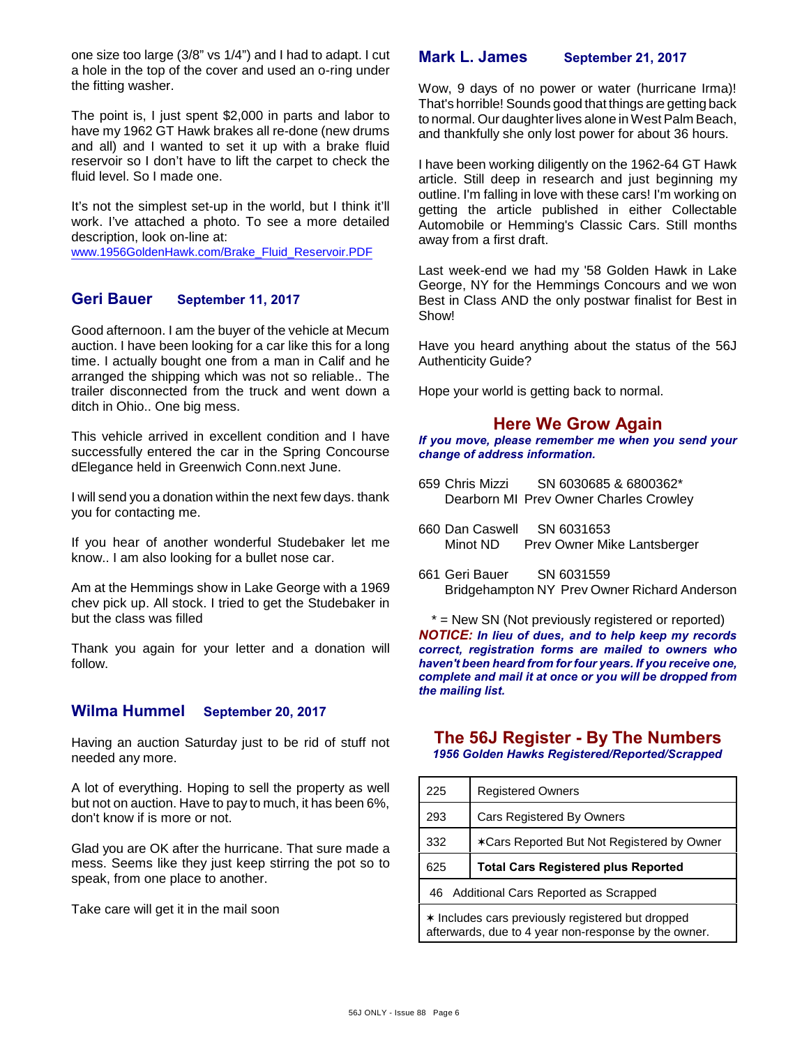one size too large (3/8" vs 1/4") and I had to adapt. I cut a hole in the top of the cover and used an o-ring under the fitting washer.

The point is, I just spent \$2,000 in parts and labor to have my 1962 GT Hawk brakes all re-done (new drums and all) and I wanted to set it up with a brake fluid reservoir so I don't have to lift the carpet to check the fluid level. So I made one.

It's not the simplest set-up in the world, but I think it'll work. I've attached a photo. To see a more detailed description, look on-line at:

[www.1956GoldenHawk.com/Brake\\_Fluid\\_Reservoir.PDF](http://www.1956GoldenHawk.com/Brake_Fluid_Reservoir.PDF)

## **Geri Bauer September 11, 2017**

Good afternoon. I am the buyer of the vehicle at Mecum auction. I have been looking for a car like this for a long time. I actually bought one from a man in Calif and he arranged the shipping which was not so reliable.. The trailer disconnected from the truck and went down a ditch in Ohio.. One big mess.

This vehicle arrived in excellent condition and I have successfully entered the car in the Spring Concourse dElegance held in Greenwich Conn.next June.

I will send you a donation within the next few days. thank you for contacting me.

If you hear of another wonderful Studebaker let me know.. I am also looking for a bullet nose car.

Am at the Hemmings show in Lake George with a 1969 chev pick up. All stock. I tried to get the Studebaker in but the class was filled

Thank you again for your letter and a donation will follow.

## **Wilma Hummel September 20, 2017**

Having an auction Saturday just to be rid of stuff not needed any more.

A lot of everything. Hoping to sell the property as well but not on auction. Have to pay to much, it has been 6%, don't know if is more or not.

Glad you are OK after the hurricane. That sure made a mess. Seems like they just keep stirring the pot so to speak, from one place to another.

Take care will get it in the mail soon

## **Mark L. James September 21, 2017**

Wow, 9 days of no power or water (hurricane Irma)! That's horrible! Sounds good that things are getting back to normal. Our daughter lives alone in West Palm Beach, and thankfully she only lost power for about 36 hours.

I have been working diligently on the 1962-64 GT Hawk article. Still deep in research and just beginning my outline. I'm falling in love with these cars! I'm working on getting the article published in either Collectable Automobile or Hemming's Classic Cars. Still months away from a first draft.

Last week-end we had my '58 Golden Hawk in Lake George, NY for the Hemmings Concours and we won Best in Class AND the only postwar finalist for Best in Show!

Have you heard anything about the status of the 56J Authenticity Guide?

Hope your world is getting back to normal.

# **Here We Grow Again**

*If you move, please remember me when you send your change of address information.*

- 659 Chris Mizzi SN 6030685 & 6800362\* Dearborn MI Prev Owner Charles Crowley
- 660 Dan Caswell SN 6031653 Prev Owner Mike Lantsberger
- 661 Geri Bauer SN 6031559 Bridgehampton NY Prev Owner Richard Anderson

\* = New SN (Not previously registered or reported) *NOTICE: In lieu of dues, and to help keep my records correct, registration forms are mailed to owners who haven't been heard from for four years. If you receive one, complete and mail it at once or you will be dropped from the mailing list.*

# **The 56J Register - By The Numbers**

*1956 Golden Hawks Registered/Reported/Scrapped*

| 225                                                     | <b>Registered Owners</b>                   |  |
|---------------------------------------------------------|--------------------------------------------|--|
| 293                                                     | Cars Registered By Owners                  |  |
| 332                                                     | *Cars Reported But Not Registered by Owner |  |
| 625                                                     | <b>Total Cars Registered plus Reported</b> |  |
| Additional Cars Reported as Scrapped<br>46              |                                            |  |
| $\star$ Includes cars previously registered but dropped |                                            |  |

ars previously registered but afterwards, due to 4 year non-response by the owner.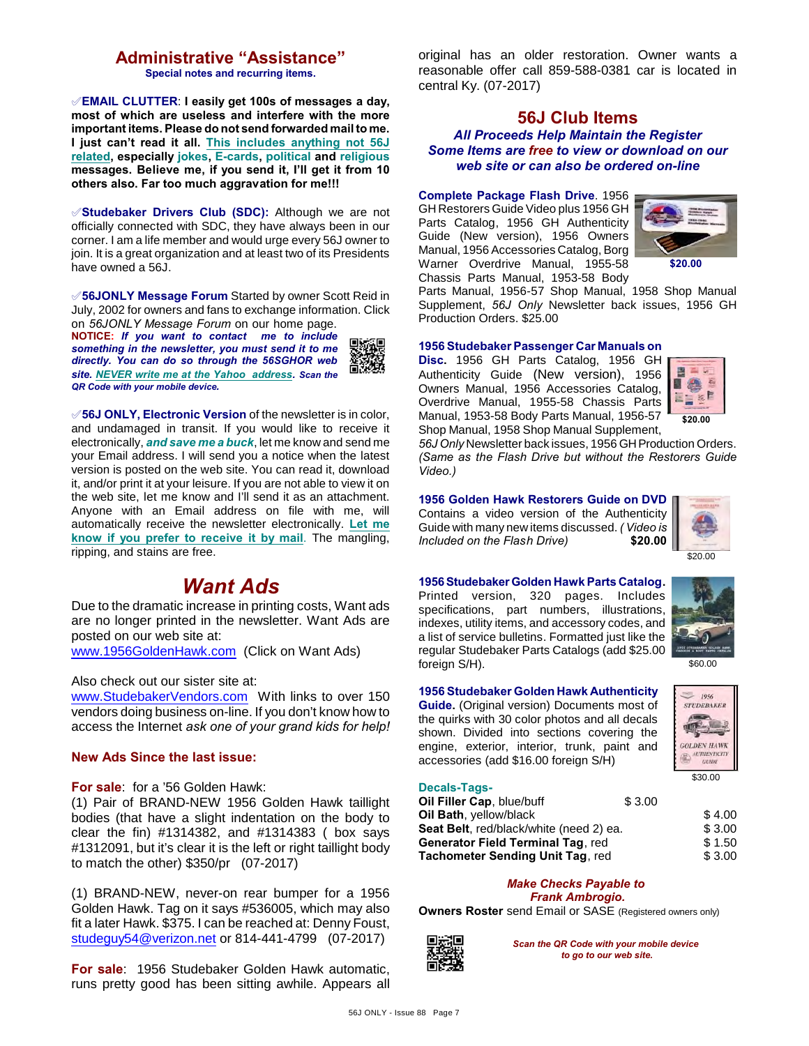# **Administrative "Assistance"**

**Special notes and recurring items.**

°**EMAIL CLUTTER**: **I easily get 100s of messages a day, most of which are useless and interfere with the more important items. Please do not send forwarded mail to me. I just can't read it all. This includes anything not 56J related, especially jokes, E-cards, political and religious messages. Believe me, if you send it, I'll get it from 10 others also. Far too much aggravation for me!!!**

°**Studebaker Drivers Club (SDC):** Although we are not officially connected with SDC, they have always been in our corner. I am a life member and would urge every 56J owner to join. It is a great organization and at least two of its Presidents have owned a 56J.

°**56JONLY Message Forum** Started by owner Scott Reid in July, 2002 for owners and fans to exchange information. Click on *56JONLY Message Forum* on our home page.

**NOTICE:** *If you want to contact me to include something in the newsletter, you must send it to me directly. You can do so through the 56SGHOR web site. NEVER write me at the Yahoo address. Scan the QR Code with your mobile device.* 



°**56J ONLY, Electronic Version** of the newsletter is in color, and undamaged in transit. If you would like to receive it electronically, *and save me a buck*, let me know and send me your Email address. I will send you a notice when the latest version is posted on the web site. You can read it, download it, and/or print it at your leisure. If you are not able to view it on the web site, let me know and I'll send it as an attachment. Anyone with an Email address on file with me, will automatically receive the newsletter electronically. **Let me know if you prefer to receive it by mail**. The mangling, ripping, and stains are free.

# *Want Ads*

Due to the dramatic increase in printing costs, Want ads are no longer printed in the newsletter. Want Ads are posted on our web site at: [www.1956GoldenHawk.com](http://www.1956GoldenHawk.com) (Click on Want Ads)

Also check out our sister site at:

[www.StudebakerVendors.com](http://www.StudebakerVendors.com) With links to over 150 vendors doing business on-line. If you don't know how to access the Internet *ask one of your grand kids for help!*

#### **New Ads Since the last issue:**

**For sale**: for a '56 Golden Hawk:

(1) Pair of BRAND-NEW 1956 Golden Hawk taillight bodies (that have a slight indentation on the body to clear the fin) #1314382, and #1314383 ( box says #1312091, but it's clear it is the left or right taillight body to match the other) \$350/pr (07-2017)

(1) BRAND-NEW, never-on rear bumper for a 1956 Golden Hawk. Tag on it says #536005, which may also fit a later Hawk. \$375. I can be reached at: Denny Foust, [studeguy54@verizon.net](mailto:studeguy54@verizon.net) or 814-441-4799 (07-2017)

**For sale**: 1956 Studebaker Golden Hawk automatic, runs pretty good has been sitting awhile. Appears all original has an older restoration. Owner wants a reasonable offer call 859-588-0381 car is located in central Ky. (07-2017)

### **56J Club Items** *All Proceeds Help Maintain the Register Some Items are free to view or download on our web site or can also be ordered on-line*

#### **Complete Package Flash Drive**. 1956

GH Restorers Guide Video plus 1956 GH Parts Catalog, 1956 GH Authenticity Guide (New version), 1956 Owners Manual, 1956 Accessories Catalog, Borg Warner Overdrive Manual, 1955-58 Chassis Parts Manual, 1953-58 Body



Parts Manual, 1956-57 Shop Manual, 1958 Shop Manual Supplement, *56J Only* Newsletter back issues, 1956 GH Production Orders. \$25.00

#### **1956 Studebaker Passenger Car Manuals on**

**Disc.** 1956 GH Parts Catalog, 1956 GH Authenticity Guide (New version), 1956 Owners Manual, 1956 Accessories Catalog, Overdrive Manual, 1955-58 Chassis Parts Manual, 1953-58 Body Parts Manual, 1956-57 Shop Manual, 1958 Shop Manual Supplement,



*56J Only* Newsletter back issues, 1956 GH Production Orders. *(Same as the Flash Drive but without the Restorers Guide Video.)*

#### **1956 Golden Hawk Restorers Guide on DVD**

Contains a video version of the Authenticity Guide with many new items discussed. *( Video is* **Included on the Flash Drive)** 



\$60.00

 $1056$ STUDEBAKER

\$30.00

**GOLDEN HAWK** 国 AUTHENTICITY GUIDE

# **1956 Studebaker Golden Hawk Parts Catalog.**

Printed version, 320 pages. Includes specifications, part numbers, illustrations, indexes, utility items, and accessory codes, and a list of service bulletins. Formatted just like the regular Studebaker Parts Catalogs (add \$25.00 foreign S/H).



**Guide.** (Original version) Documents most of the quirks with 30 color photos and all decals shown. Divided into sections covering the engine, exterior, interior, trunk, paint and accessories (add \$16.00 foreign S/H)



| Oil Filler Cap, blue/buff               | \$3.00 |        |
|-----------------------------------------|--------|--------|
| Oil Bath, yellow/black                  |        | \$4.00 |
| Seat Belt, red/black/white (need 2) ea. | \$3.00 |        |
| Generator Field Terminal Tag, red       | \$1.50 |        |
| Tachometer Sending Unit Tag, red        | \$3.00 |        |
|                                         |        |        |

#### *Make Checks Payable to Frank Ambrogio.*

**Owners Roster** send Email or SASE (Registered owners only)



*Scan the QR Code with your mobile device to go to our web site.*